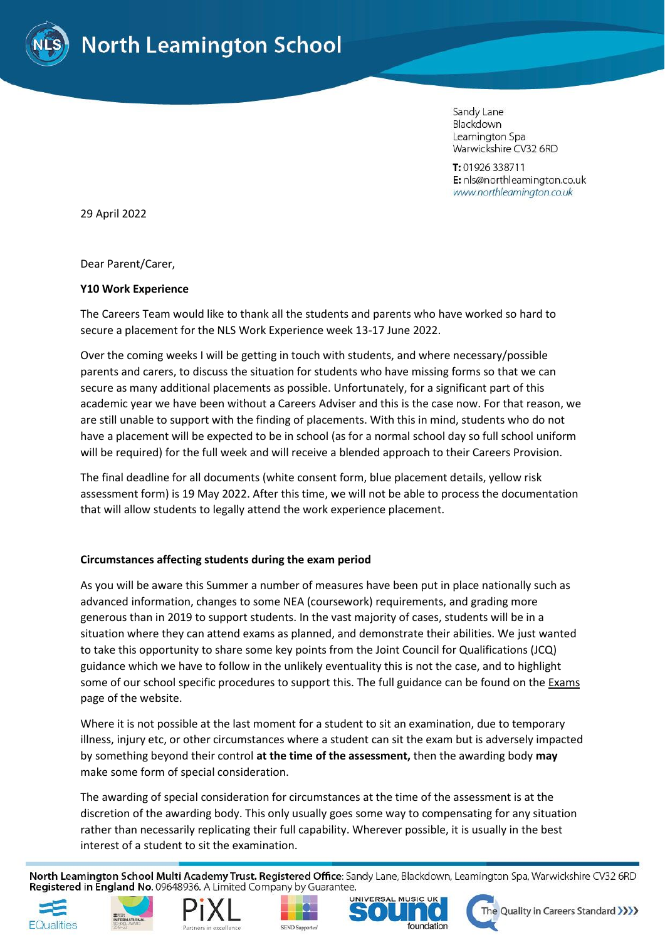

Sandy Lane Blackdown Leamington Spa Warwickshire CV32 6RD

T: 01926 338711 E: nls@northleamington.co.uk www.northleamington.co.uk

29 April 2022

Dear Parent/Carer,

### **Y10 Work Experience**

The Careers Team would like to thank all the students and parents who have worked so hard to secure a placement for the NLS Work Experience week 13-17 June 2022.

Over the coming weeks I will be getting in touch with students, and where necessary/possible parents and carers, to discuss the situation for students who have missing forms so that we can secure as many additional placements as possible. Unfortunately, for a significant part of this academic year we have been without a Careers Adviser and this is the case now. For that reason, we are still unable to support with the finding of placements. With this in mind, students who do not have a placement will be expected to be in school (as for a normal school day so full school uniform will be required) for the full week and will receive a blended approach to their Careers Provision.

The final deadline for all documents (white consent form, blue placement details, yellow risk assessment form) is 19 May 2022. After this time, we will not be able to process the documentation that will allow students to legally attend the work experience placement.

## **Circumstances affecting students during the exam period**

As you will be aware this Summer a number of measures have been put in place nationally such as advanced information, changes to some NEA (coursework) requirements, and grading more generous than in 2019 to support students. In the vast majority of cases, students will be in a situation where they can attend exams as planned, and demonstrate their abilities. We just wanted to take this opportunity to share some key points from the Joint Council for Qualifications (JCQ) guidance which we have to follow in the unlikely eventuality this is not the case, and to highlight some of our school specific procedures to support this. The full guidance can be found on th[e Exams](https://www.northleamington.co.uk/learn/assessments-and-exams) page of the website.

Where it is not possible at the last moment for a student to sit an examination, due to temporary illness, injury etc, or other circumstances where a student can sit the exam but is adversely impacted by something beyond their control **at the time of the assessment,** then the awarding body **may** make some form of special consideration.

The awarding of special consideration for circumstances at the time of the assessment is at the discretion of the awarding body. This only usually goes some way to compensating for any situation rather than necessarily replicating their full capability. Wherever possible, it is usually in the best interest of a student to sit the examination.

North Leamington School Multi Academy Trust. Registered Office: Sandy Lane, Blackdown, Leamington Spa, Warwickshire CV32 6RD Registered in England No. 09648936. A Limited Company by Guarantee.











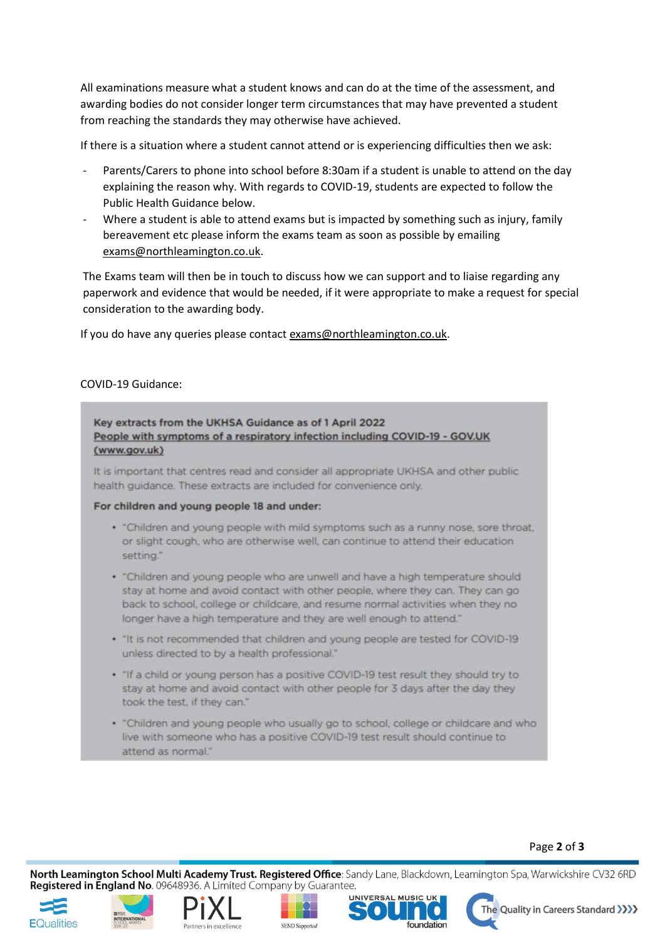All examinations measure what a student knows and can do at the time of the assessment, and awarding bodies do not consider longer term circumstances that may have prevented a student from reaching the standards they may otherwise have achieved.

If there is a situation where a student cannot attend or is experiencing difficulties then we ask:

- Parents/Carers to phone into school before 8:30am if a student is unable to attend on the day explaining the reason why. With regards to COVID-19, students are expected to follow the Public Health Guidance below.
- Where a student is able to attend exams but is impacted by something such as injury, family bereavement etc please inform the exams team as soon as possible by emailing [exams@northleamington.co.uk.](mailto:exams@northleamington.co.uk)

The Exams team will then be in touch to discuss how we can support and to liaise regarding any paperwork and evidence that would be needed, if it were appropriate to make a request for special consideration to the awarding body.

If you do have any queries please contact [exams@northleamington.co.uk.](mailto:exams@northleamington.co.uk)

# COVID-19 Guidance:

## Key extracts from the UKHSA Guidance as of 1 April 2022 People with symptoms of a respiratory infection including COVID-19 - GOV.UK (www.gov.uk)

It is important that centres read and consider all appropriate UKHSA and other public health quidance. These extracts are included for convenience only.

### For children and young people 18 and under:

- . "Children and young people with mild symptoms such as a runny nose, sore throat, or slight cough, who are otherwise well, can continue to attend their education setting."
- . "Children and young people who are unwell and have a high temperature should stay at home and avoid contact with other people, where they can. They can go back to school, college or childcare, and resume normal activities when they no longer have a high temperature and they are well enough to attend."
- . "It is not recommended that children and young people are tested for COVID-19 unless directed to by a health professional."
- . "If a child or young person has a positive COVID-19 test result they should try to stay at home and avoid contact with other people for 3 days after the day they took the test, if they can."
- . "Children and young people who usually go to school, college or childcare and who live with someone who has a positive COVID-19 test result should continue to attend as normal."

## Page **2** of **3**

North Leamington School Multi Academy Trust. Registered Office: Sandy Lane, Blackdown, Leamington Spa, Warwickshire CV32 6RD Registered in England No. 09648936. A Limited Company by Guarantee.